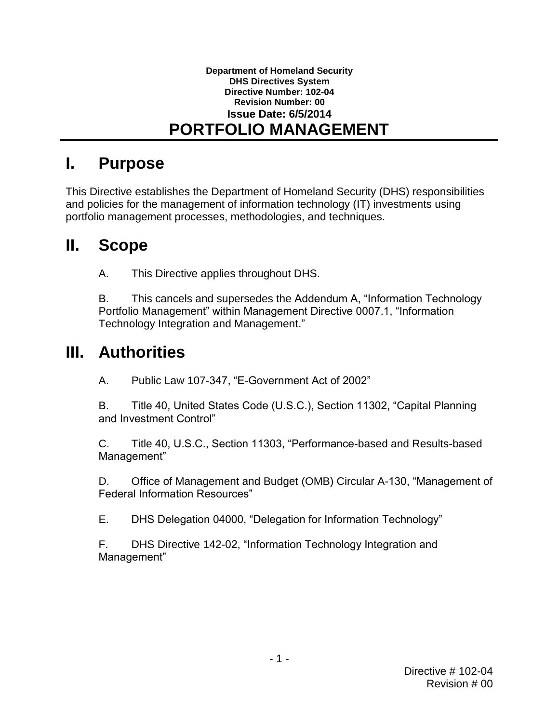### **Department of Homeland Security DHS Directives System Directive Number: 102-04 Revision Number: 00 Issue Date: 6/5/2014 PORTFOLIO MANAGEMENT**

## **I. Purpose**

 and policies for the management of information technology (IT) investments using This Directive establishes the Department of Homeland Security (DHS) responsibilities portfolio management processes, methodologies, and techniques.

### $\mathbf{II}_{-}$ **II. Scope**

A. This Directive applies throughout DHS.

B. This cancels and supersedes the Addendum A, "Information Technology Portfolio Management" within Management Directive 0007.1, "Information Technology Integration and Management."

## **III. Authorities**

A. Public Law 107-347, "E-Government Act of 2002"

B. Title 40, United States Code (U.S.C.), Section 11302, "Capital Planning and Investment Control"

 $C_{-}$ Title 40, U.S.C., Section 11303, "Performance-based and Results-based Management"

 D. Office of Management and Budget (OMB) Circular A-130, "Management of Federal Information Resources"

E. DHS Delegation 04000, "Delegation for Information Technology"

 F. DHS Directive 142-02, "Information Technology Integration and Management"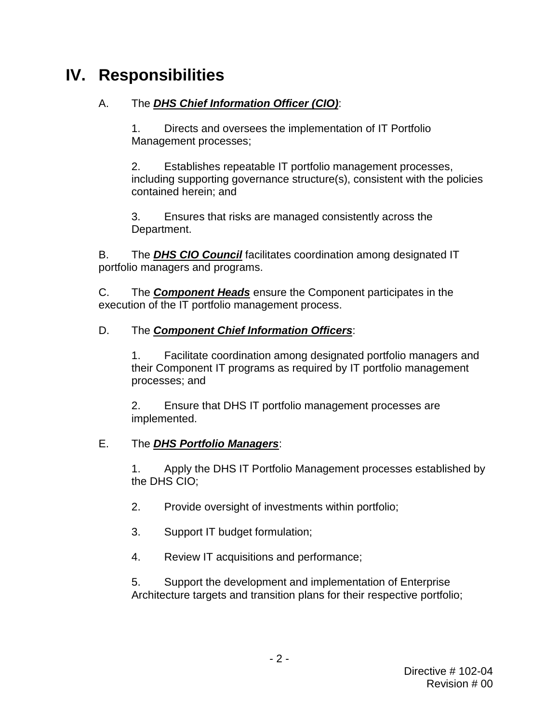# **IV. Responsibilities**

#### А. A. The *DHS Chief Information Officer (CIO)*:

 1. Directs and oversees the implementation of IT Portfolio Management processes;

 2. Establishes repeatable IT portfolio management processes, contained herein; and including supporting governance structure(s), consistent with the policies

3. Ensures that risks are managed consistently across the Department.

В. portfolio managers and programs. B. The *DHS CIO Council* facilitates coordination among designated IT

 $C_{\cdot}$ The **Component Heads** ensure the Component participates in the execution of the IT portfolio management process.

#### D. The **Component Chief Information Officers:**

 their Component IT programs as required by IT portfolio management 1. Facilitate coordination among designated portfolio managers and processes; and

 2. Ensure that DHS IT portfolio management processes are implemented.

#### F. E. The *DHS Portfolio Managers*:

 $1<sup>1</sup>$  the DHS CIO; Apply the DHS IT Portfolio Management processes established by

- 2. Provide oversight of investments within portfolio;
- 3. Support IT budget formulation;
- 4. Review IT acquisitions and performance;

 5. Support the development and implementation of Enterprise Architecture targets and transition plans for their respective portfolio;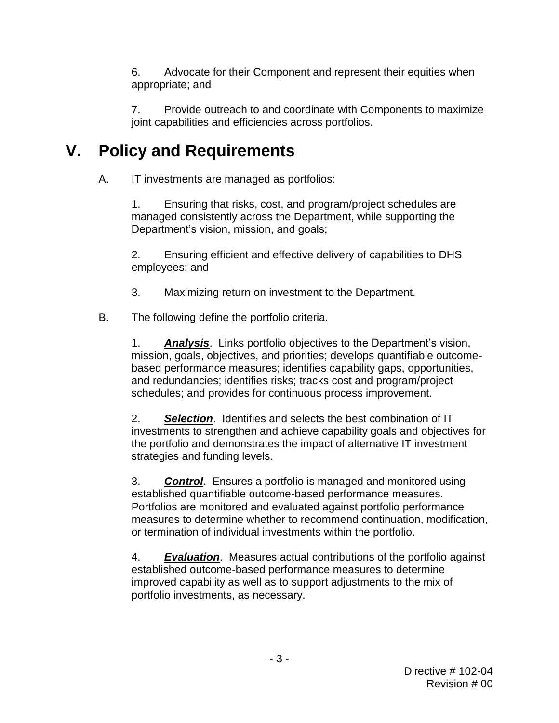6. Advocate for their Component and represent their equities when appropriate; and

 7. Provide outreach to and coordinate with Components to maximize joint capabilities and efficiencies across portfolios.

### **V. Policy and Requirements**

A. IT investments are managed as portfolios:

 managed consistently across the Department, while supporting the 1. Ensuring that risks, cost, and program/project schedules are Department's vision, mission, and goals;

2. Ensuring efficient and effective delivery of capabilities to DHS employees; and

3. Maximizing return on investment to the Department.

**B.** The following define the portfolio criteria.

> schedules; and provides for continuous process improvement. 1. *Analysis*. Links portfolio objectives to the Department's vision, mission, goals, objectives, and priorities; develops quantifiable outcomebased performance measures; identifies capability gaps, opportunities, and redundancies; identifies risks; tracks cost and program/project

 2. *Selection*. Identifies and selects the best combination of IT investments to strengthen and achieve capability goals and objectives for the portfolio and demonstrates the impact of alternative IT investment strategies and funding levels.

 established quantifiable outcome-based performance measures. 3. *Control*. Ensures a portfolio is managed and monitored using Portfolios are monitored and evaluated against portfolio performance measures to determine whether to recommend continuation, modification, or termination of individual investments within the portfolio.

4. *Evaluation*. Measures actual contributions of the portfolio against established outcome-based performance measures to determine improved capability as well as to support adjustments to the mix of portfolio investments, as necessary.